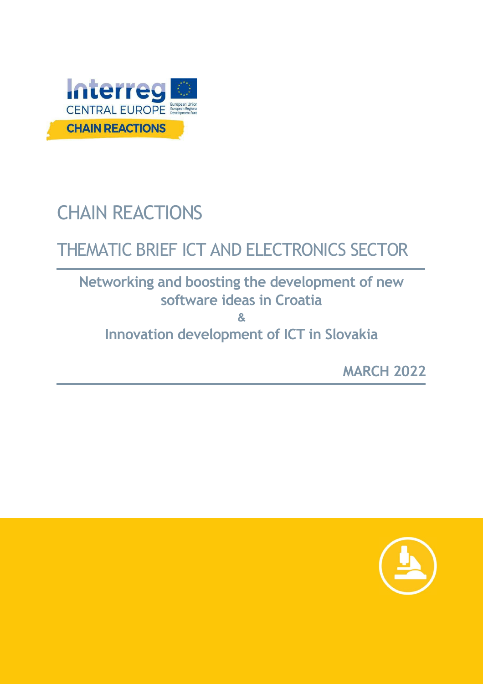

# CHAIN REACTIONS

## THEMATIC BRIEF ICT AND ELECTRONICS SECTOR

### **Networking and boosting the development of new software ideas in Croatia**

**&**

**Innovation development of ICT in Slovakia**

**MARCH 2022**

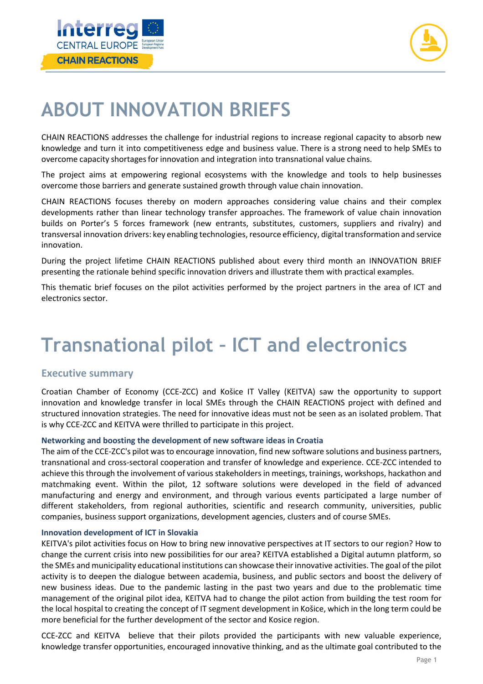



### **ABOUT INNOVATION BRIEFS**

CHAIN REACTIONS addresses the challenge for industrial regions to increase regional capacity to absorb new knowledge and turn it into competitiveness edge and business value. There is a strong need to help SMEs to overcome capacity shortagesforinnovation and integration into transnational value chains.

The project aims at empowering regional ecosystems with the knowledge and tools to help businesses overcome those barriers and generate sustained growth through value chain innovation.

CHAIN REACTIONS focuses thereby on modern approaches considering value chains and their complex developments rather than linear technology transfer approaches. The framework of value chain innovation builds on Porter's 5 forces framework (new entrants, substitutes, customers, suppliers and rivalry) and transversal innovation drivers: key enabling technologies, resource efficiency, digital transformation and service innovation.

During the project lifetime CHAIN REACTIONS published about every third month an INNOVATION BRIEF presenting the rationale behind specific innovation drivers and illustrate them with practical examples.

This thematic brief focuses on the pilot activities performed by the project partners in the area of ICT and electronics sector.

### **Transnational pilot – ICT and electronics**

### **Executive summary**

Croatian Chamber of Economy (CCE-ZCC) and Košice IT Valley (KEITVA) saw the opportunity to support innovation and knowledge transfer in local SMEs through the CHAIN REACTIONS project with defined and structured innovation strategies. The need for innovative ideas must not be seen as an isolated problem. That is why CCE-ZCC and KEITVA were thrilled to participate in this project.

#### **Networking and boosting the development of new software ideas in Croatia**

The aim of the CCE-ZCC's pilot was to encourage innovation, find new software solutions and business partners, transnational and cross-sectoral cooperation and transfer of knowledge and experience. CCE-ZCC intended to achieve this through the involvement of various stakeholders in meetings, trainings, workshops, hackathon and matchmaking event. Within the pilot, 12 software solutions were developed in the field of advanced manufacturing and energy and environment, and through various events participated a large number of different stakeholders, from regional authorities, scientific and research community, universities, public companies, business support organizations, development agencies, clusters and of course SMEs.

#### **Innovation development of ICT in Slovakia**

KEITVA's pilot activities focus on How to bring new innovative perspectives at IT sectors to our region? How to change the current crisis into new possibilities for our area? KEITVA established a Digital autumn platform, so the SMEs and municipality educational institutions can showcase their innovative activities. The goal of the pilot activity is to deepen the dialogue between academia, business, and public sectors and boost the delivery of new business ideas. Due to the pandemic lasting in the past two years and due to the problematic time management of the original pilot idea, KEITVA had to change the pilot action from building the test room for the local hospital to creating the concept of IT segment development in Košice, which in the long term could be more beneficial for the further development of the sector and Kosice region.

CCE-ZCC and KEITVA believe that their pilots provided the participants with new valuable experience, knowledge transfer opportunities, encouraged innovative thinking, and as the ultimate goal contributed to the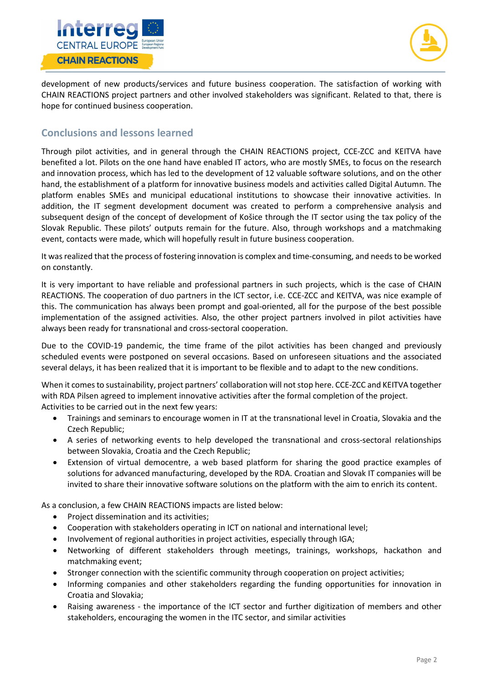



development of new products/services and future business cooperation. The satisfaction of working with CHAIN REACTIONS project partners and other involved stakeholders was significant. Related to that, there is hope for continued business cooperation.

### **Conclusions and lessons learned**

Through pilot activities, and in general through the CHAIN REACTIONS project, CCE-ZCC and KEITVA have benefited a lot. Pilots on the one hand have enabled IT actors, who are mostly SMEs, to focus on the research and innovation process, which has led to the development of 12 valuable software solutions, and on the other hand, the establishment of a platform for innovative business models and activities called Digital Autumn. The platform enables SMEs and municipal educational institutions to showcase their innovative activities. In addition, the IT segment development document was created to perform a comprehensive analysis and subsequent design of the concept of development of Košice through the IT sector using the tax policy of the Slovak Republic. These pilots' outputs remain for the future. Also, through workshops and a matchmaking event, contacts were made, which will hopefully result in future business cooperation.

It was realized that the process of fostering innovation is complex and time-consuming, and needs to be worked on constantly.

It is very important to have reliable and professional partners in such projects, which is the case of CHAIN REACTIONS. The cooperation of duo partners in the ICT sector, i.e. CCE-ZCC and KEITVA, was nice example of this. The communication has always been prompt and goal-oriented, all for the purpose of the best possible implementation of the assigned activities. Also, the other project partners involved in pilot activities have always been ready for transnational and cross-sectoral cooperation.

Due to the COVID-19 pandemic, the time frame of the pilot activities has been changed and previously scheduled events were postponed on several occasions. Based on unforeseen situations and the associated several delays, it has been realized that it is important to be flexible and to adapt to the new conditions.

When it comes to sustainability, project partners' collaboration will not stop here. CCE-ZCC and KEITVA together with RDA Pilsen agreed to implement innovative activities after the formal completion of the project. Activities to be carried out in the next few years:

- Trainings and seminars to encourage women in IT at the transnational level in Croatia, Slovakia and the Czech Republic;
- A series of networking events to help developed the transnational and cross-sectoral relationships between Slovakia, Croatia and the Czech Republic;
- Extension of virtual democentre, a web based platform for sharing the good practice examples of solutions for advanced manufacturing, developed by the RDA. Croatian and Slovak IT companies will be invited to share their innovative software solutions on the platform with the aim to enrich its content.

As a conclusion, a few CHAIN REACTIONS impacts are listed below:

- Project dissemination and its activities;
- Cooperation with stakeholders operating in ICT on national and international level;
- Involvement of regional authorities in project activities, especially through IGA;
- Networking of different stakeholders through meetings, trainings, workshops, hackathon and matchmaking event;
- Stronger connection with the scientific community through cooperation on project activities;
- Informing companies and other stakeholders regarding the funding opportunities for innovation in Croatia and Slovakia;
- Raising awareness the importance of the ICT sector and further digitization of members and other stakeholders, encouraging the women in the ITC sector, and similar activities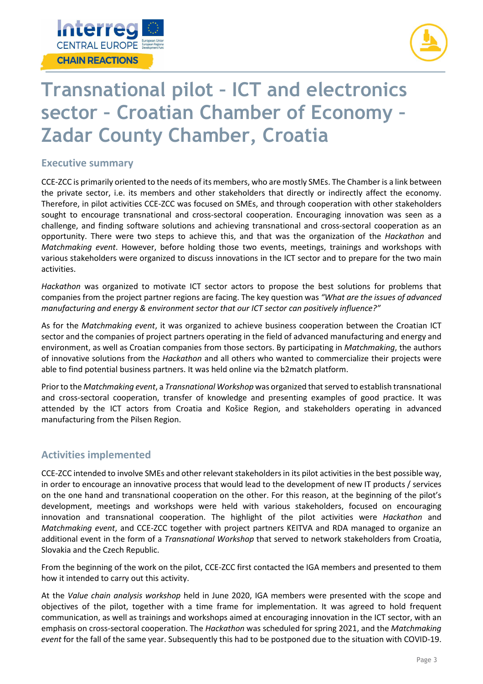



### **Transnational pilot – ICT and electronics sector – Croatian Chamber of Economy – Zadar County Chamber, Croatia**

### **Executive summary**

CCE-ZCC is primarily oriented to the needs of its members, who are mostly SMEs. The Chamber is a link between the private sector, i.e. its members and other stakeholders that directly or indirectly affect the economy. Therefore, in pilot activities CCE-ZCC was focused on SMEs, and through cooperation with other stakeholders sought to encourage transnational and cross-sectoral cooperation. Encouraging innovation was seen as a challenge, and finding software solutions and achieving transnational and cross-sectoral cooperation as an opportunity. There were two steps to achieve this, and that was the organization of the *Hackathon* and *Matchmaking event*. However, before holding those two events, meetings, trainings and workshops with various stakeholders were organized to discuss innovations in the ICT sector and to prepare for the two main activities.

*Hackathon* was organized to motivate ICT sector actors to propose the best solutions for problems that companies from the project partner regions are facing. The key question was *"What are the issues of advanced manufacturing and energy & environment sector that our ICT sector can positively influence?"*

As for the *Matchmaking event*, it was organized to achieve business cooperation between the Croatian ICT sector and the companies of project partners operating in the field of advanced manufacturing and energy and environment, as well as Croatian companies from those sectors. By participating in *Matchmaking*, the authors of innovative solutions from the *Hackathon* and all others who wanted to commercialize their projects were able to find potential business partners. It was held online via the b2match platform.

Prior to the *Matchmaking event*, a *Transnational Workshop* was organized that served to establish transnational and cross-sectoral cooperation, transfer of knowledge and presenting examples of good practice. It was attended by the ICT actors from Croatia and Košice Region, and stakeholders operating in advanced manufacturing from the Pilsen Region.

### **Activities implemented**

CCE-ZCC intended to involve SMEs and other relevant stakeholders in its pilot activities in the best possible way, in order to encourage an innovative process that would lead to the development of new IT products / services on the one hand and transnational cooperation on the other. For this reason, at the beginning of the pilot's development, meetings and workshops were held with various stakeholders, focused on encouraging innovation and transnational cooperation. The highlight of the pilot activities were *Hackathon* and *Matchmaking event*, and CCE-ZCC together with project partners KEITVA and RDA managed to organize an additional event in the form of a *Transnational Workshop* that served to network stakeholders from Croatia, Slovakia and the Czech Republic.

From the beginning of the work on the pilot, CCE-ZCC first contacted the IGA members and presented to them how it intended to carry out this activity.

At the *Value chain analysis workshop* held in June 2020, IGA members were presented with the scope and objectives of the pilot, together with a time frame for implementation. It was agreed to hold frequent communication, as well as trainings and workshops aimed at encouraging innovation in the ICT sector, with an emphasis on cross-sectoral cooperation. The *Hackathon* was scheduled for spring 2021, and the *Matchmaking event* for the fall of the same year. Subsequently this had to be postponed due to the situation with COVID-19.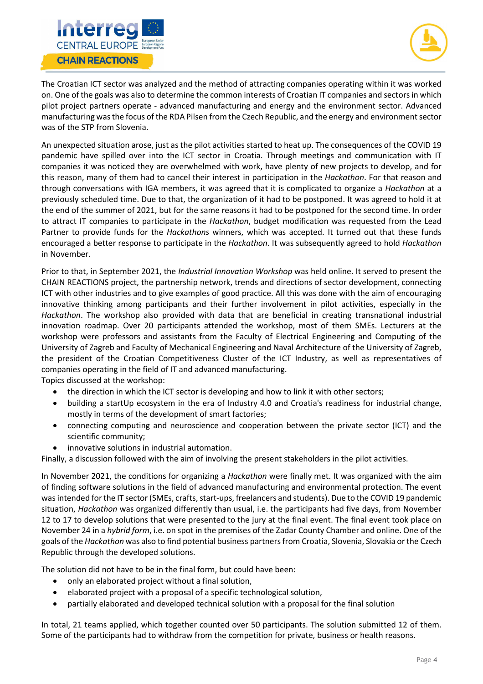



The Croatian ICT sector was analyzed and the method of attracting companies operating within it was worked on. One of the goals was also to determine the common interests of Croatian IT companies and sectors in which pilot project partners operate - advanced manufacturing and energy and the environment sector. Advanced manufacturing was the focus of the RDA Pilsen from the Czech Republic, and the energy and environment sector was of the STP from Slovenia.

An unexpected situation arose, just as the pilot activities started to heat up. The consequences of the COVID 19 pandemic have spilled over into the ICT sector in Croatia. Through meetings and communication with IT companies it was noticed they are overwhelmed with work, have plenty of new projects to develop, and for this reason, many of them had to cancel their interest in participation in the *Hackathon*. For that reason and through conversations with IGA members, it was agreed that it is complicated to organize a *Hackathon* at a previously scheduled time. Due to that, the organization of it had to be postponed. It was agreed to hold it at the end of the summer of 2021, but for the same reasons it had to be postponed for the second time. In order to attract IT companies to participate in the *Hackathon*, budget modification was requested from the Lead Partner to provide funds for the *Hackathons* winners, which was accepted. It turned out that these funds encouraged a better response to participate in the *Hackathon*. It was subsequently agreed to hold *Hackathon* in November.

Prior to that, in September 2021, the *Industrial Innovation Workshop* was held online. It served to present the CHAIN REACTIONS project, the partnership network, trends and directions of sector development, connecting ICT with other industries and to give examples of good practice. All this was done with the aim of encouraging innovative thinking among participants and their further involvement in pilot activities, especially in the *Hackathon*. The workshop also provided with data that are beneficial in creating transnational industrial innovation roadmap. Over 20 participants attended the workshop, most of them SMEs. Lecturers at the workshop were professors and assistants from the Faculty of Electrical Engineering and Computing of the University of Zagreb and Faculty of Mechanical Engineering and Naval Architecture of the University of Zagreb, the president of the Croatian Competitiveness Cluster of the ICT Industry, as well as representatives of companies operating in the field of IT and advanced manufacturing.

Topics discussed at the workshop:

- the direction in which the ICT sector is developing and how to link it with other sectors;
- building a startUp ecosystem in the era of Industry 4.0 and Croatia's readiness for industrial change, mostly in terms of the development of smart factories;
- connecting computing and neuroscience and cooperation between the private sector (ICT) and the scientific community;
- innovative solutions in industrial automation.

Finally, a discussion followed with the aim of involving the present stakeholders in the pilot activities.

In November 2021, the conditions for organizing a *Hackathon* were finally met. It was organized with the aim of finding software solutions in the field of advanced manufacturing and environmental protection. The event was intended for the IT sector (SMEs, crafts, start-ups, freelancers and students). Due to the COVID 19 pandemic situation, *Hackathon* was organized differently than usual, i.e. the participants had five days, from November 12 to 17 to develop solutions that were presented to the jury at the final event. The final event took place on November 24 in a *hybrid form*, i.e. on spot in the premises of the Zadar County Chamber and online. One of the goals of the *Hackathon* was also to find potential business partners from Croatia, Slovenia, Slovakia or the Czech Republic through the developed solutions.

The solution did not have to be in the final form, but could have been:

- only an elaborated project without a final solution,
- elaborated project with a proposal of a specific technological solution,
- partially elaborated and developed technical solution with a proposal for the final solution

In total, 21 teams applied, which together counted over 50 participants. The solution submitted 12 of them. Some of the participants had to withdraw from the competition for private, business or health reasons.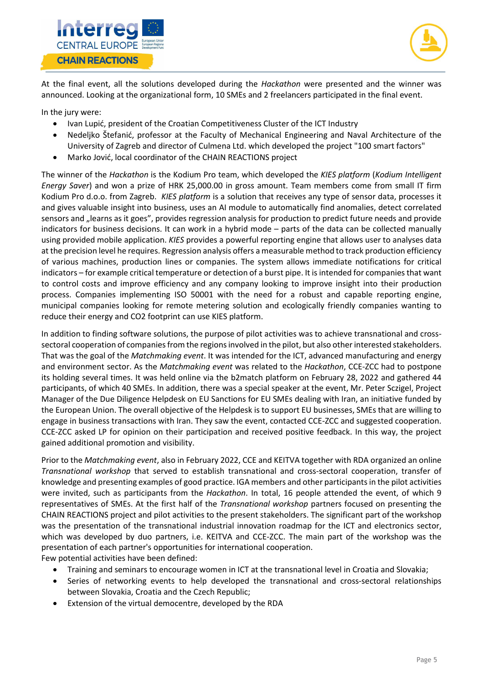



At the final event, all the solutions developed during the *Hackathon* were presented and the winner was announced. Looking at the organizational form, 10 SMEs and 2 freelancers participated in the final event.

In the jury were:

- Ivan Lupić, president of the Croatian Competitiveness Cluster of the ICT Industry
- Nedeljko Štefanić, professor at the Faculty of Mechanical Engineering and Naval Architecture of the University of Zagreb and director of Culmena Ltd. which developed the project "100 smart factors"
- Marko Jović, local coordinator of the CHAIN REACTIONS project

The winner of the *Hackathon* is the Kodium Pro team, which developed the *KIES platform* (*Kodium Intelligent Energy Saver*) and won a prize of HRK 25,000.00 in gross amount. Team members come from small IT firm Kodium Pro d.o.o. from Zagreb. *KIES platform* is a solution that receives any type of sensor data, processes it and gives valuable insight into business, uses an AI module to automatically find anomalies, detect correlated sensors and "learns as it goes", provides regression analysis for production to predict future needs and provide indicators for business decisions. It can work in a hybrid mode – parts of the data can be collected manually using provided mobile application. *KIES* provides a powerful reporting engine that allows user to analyses data at the precision level he requires. Regression analysis offers a measurable method to track production efficiency of various machines, production lines or companies. The system allows immediate notifications for critical indicators – for example critical temperature or detection of a burst pipe. It is intended for companies that want to control costs and improve efficiency and any company looking to improve insight into their production process. Companies implementing ISO 50001 with the need for a robust and capable reporting engine, municipal companies looking for remote metering solution and ecologically friendly companies wanting to reduce their energy and CO2 footprint can use KIES platform.

In addition to finding software solutions, the purpose of pilot activities was to achieve transnational and crosssectoral cooperation of companies from the regions involved in the pilot, but also other interested stakeholders. That was the goal of the *Matchmaking event*. It was intended for the ICT, advanced manufacturing and energy and environment sector. As the *Matchmaking event* was related to the *Hackathon*, CCE-ZCC had to postpone its holding several times. It was held online via the b2match platform on February 28, 2022 and gathered 44 participants, of which 40 SMEs. In addition, there was a special speaker at the event, Mr. Peter Sczigel, Project Manager of the Due Diligence Helpdesk on EU Sanctions for EU SMEs dealing with Iran, an initiative funded by the European Union. The overall objective of the Helpdesk is to support EU businesses, SMEs that are willing to engage in business transactions with Iran. They saw the event, contacted CCE-ZCC and suggested cooperation. CCE-ZCC asked LP for opinion on their participation and received positive feedback. In this way, the project gained additional promotion and visibility.

Prior to the *Matchmaking event*, also in February 2022, CCE and KEITVA together with RDA organized an online *Transnational workshop* that served to establish transnational and cross-sectoral cooperation, transfer of knowledge and presenting examples of good practice. IGA members and other participants in the pilot activities were invited, such as participants from the *Hackathon*. In total, 16 people attended the event, of which 9 representatives of SMEs. At the first half of the *Transnational workshop* partners focused on presenting the CHAIN REACTIONS project and pilot activities to the present stakeholders. The significant part of the workshop was the presentation of the transnational industrial innovation roadmap for the ICT and electronics sector, which was developed by duo partners, i.e. KEITVA and CCE-ZCC. The main part of the workshop was the presentation of each partner's opportunities for international cooperation.

Few potential activities have been defined:

- Training and seminars to encourage women in ICT at the transnational level in Croatia and Slovakia;
- Series of networking events to help developed the transnational and cross-sectoral relationships between Slovakia, Croatia and the Czech Republic;
- Extension of the virtual democentre, developed by the RDA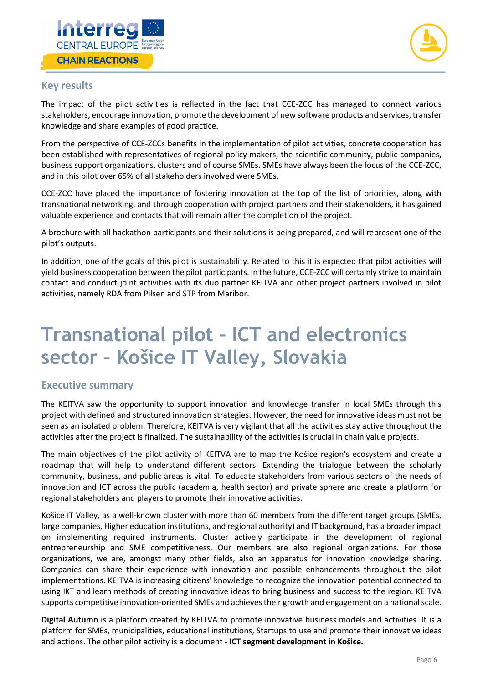



### **Key results**

The impact of the pilot activities is reflected in the fact that CCE-ZCC has managed to connect various stakeholders, encourage innovation, promote the development of new software products and services, transfer knowledge and share examples of good practice.

From the perspective of CCE-ZCCs benefits in the implementation of pilot activities, concrete cooperation has been established with representatives of regional policy makers, the scientific community, public companies, business support organizations, clusters and of course SMEs. SMEs have always been the focus of the CCE-ZCC, and in this pilot over 65% of all stakeholders involved were SMEs.

CCE-ZCC have placed the importance of fostering innovation at the top of the list of priorities, along with transnational networking, and through cooperation with project partners and their stakeholders, it has gained valuable experience and contacts that will remain after the completion of the project.

A brochure with all hackathon participants and their solutions is being prepared, and will represent one of the pilot's outputs.

In addition, one of the goals of this pilot is sustainability. Related to this it is expected that pilot activities will yield business cooperation between the pilot participants. In the future, CCE-ZCC will certainly strive to maintain contact and conduct joint activities with its duo partner KEITVA and other project partners involved in pilot activities, namely RDA from Pilsen and STP from Maribor.

### **Transnational pilot – ICT and electronics sector – Košice IT Valley, Slovakia**

#### **Executive summary**

The KEITVA saw the opportunity to support innovation and knowledge transfer in local SMEs through this project with defined and structured innovation strategies. However, the need for innovative ideas must not be seen as an isolated problem. Therefore, KEITVA is very vigilant that all the activities stay active throughout the activities after the project is finalized. The sustainability of the activities is crucial in chain value projects.

The main objectives of the pilot activity of KEITVA are to map the Košice region's ecosystem and create a roadmap that will help to understand different sectors. Extending the trialogue between the scholarly community, business, and public areas is vital. To educate stakeholders from various sectors of the needs of innovation and ICT across the public (academia, health sector) and private sphere and create a platform for regional stakeholders and players to promote their innovative activities.

Košice IT Valley, as a well-known cluster with more than 60 members from the different target groups (SMEs, large companies, Higher education institutions, and regional authority) and IT background, has a broader impact on implementing required instruments. Cluster actively participate in the development of regional entrepreneurship and SME competitiveness. Our members are also regional organizations. For those organizations, we are, amongst many other fields, also an apparatus for innovation knowledge sharing. Companies can share their experience with innovation and possible enhancements throughout the pilot implementations. KEITVA is increasing citizens' knowledge to recognize the innovation potential connected to using IKT and learn methods of creating innovative ideas to bring business and success to the region. KEITVA supports competitive innovation-oriented SMEs and achieves their growth and engagement on a national scale.

**Digital Autumn** is a platform created by KEITVA to promote innovative business models and activities. It is a platform for SMEs, municipalities, educational institutions, Startups to use and promote their innovative ideas and actions. The other pilot activity is a document **- ICT segment development in Košice.**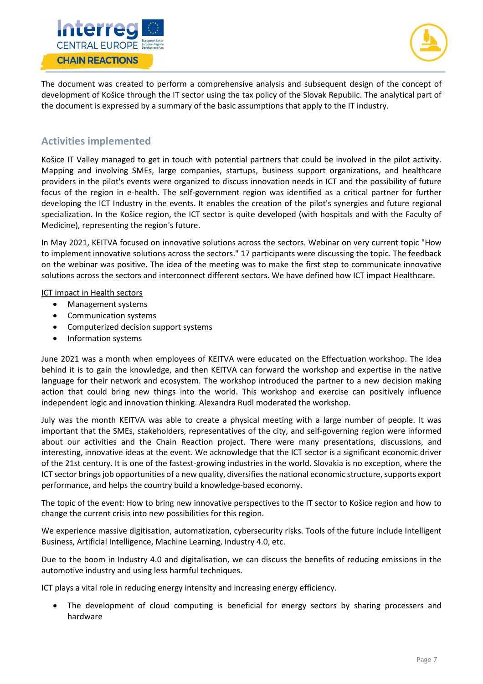



The document was created to perform a comprehensive analysis and subsequent design of the concept of development of Košice through the IT sector using the tax policy of the Slovak Republic. The analytical part of the document is expressed by a summary of the basic assumptions that apply to the IT industry.

### **Activities implemented**

Košice IT Valley managed to get in touch with potential partners that could be involved in the pilot activity. Mapping and involving SMEs, large companies, startups, business support organizations, and healthcare providers in the pilot's events were organized to discuss innovation needs in ICT and the possibility of future focus of the region in e-health. The self-government region was identified as a critical partner for further developing the ICT Industry in the events. It enables the creation of the pilot's synergies and future regional specialization. In the Košice region, the ICT sector is quite developed (with hospitals and with the Faculty of Medicine), representing the region's future.

In May 2021, KEITVA focused on innovative solutions across the sectors. Webinar on very current topic "How to implement innovative solutions across the sectors." 17 participants were discussing the topic. The feedback on the webinar was positive. The idea of the meeting was to make the first step to communicate innovative solutions across the sectors and interconnect different sectors. We have defined how ICT impact Healthcare.

#### ICT impact in Health sectors

- Management systems
- Communication systems
- Computerized decision support systems
- Information systems

June 2021 was a month when employees of KEITVA were educated on the Effectuation workshop. The idea behind it is to gain the knowledge, and then KEITVA can forward the workshop and expertise in the native language for their network and ecosystem. The workshop introduced the partner to a new decision making action that could bring new things into the world. This workshop and exercise can positively influence independent logic and innovation thinking. Alexandra Rudl moderated the workshop.

July was the month KEITVA was able to create a physical meeting with a large number of people. It was important that the SMEs, stakeholders, representatives of the city, and self-governing region were informed about our activities and the Chain Reaction project. There were many presentations, discussions, and interesting, innovative ideas at the event. We acknowledge that the ICT sector is a significant economic driver of the 21st century. It is one of the fastest-growing industries in the world. Slovakia is no exception, where the ICT sector brings job opportunities of a new quality, diversifies the national economic structure, supports export performance, and helps the country build a knowledge-based economy.

The topic of the event: How to bring new innovative perspectives to the IT sector to Košice region and how to change the current crisis into new possibilities for this region.

We experience massive digitisation, automatization, cybersecurity risks. Tools of the future include Intelligent Business, Artificial Intelligence, Machine Learning, Industry 4.0, etc.

Due to the boom in Industry 4.0 and digitalisation, we can discuss the benefits of reducing emissions in the automotive industry and using less harmful techniques.

ICT plays a vital role in reducing energy intensity and increasing energy efficiency.

• The development of cloud computing is beneficial for energy sectors by sharing processers and hardware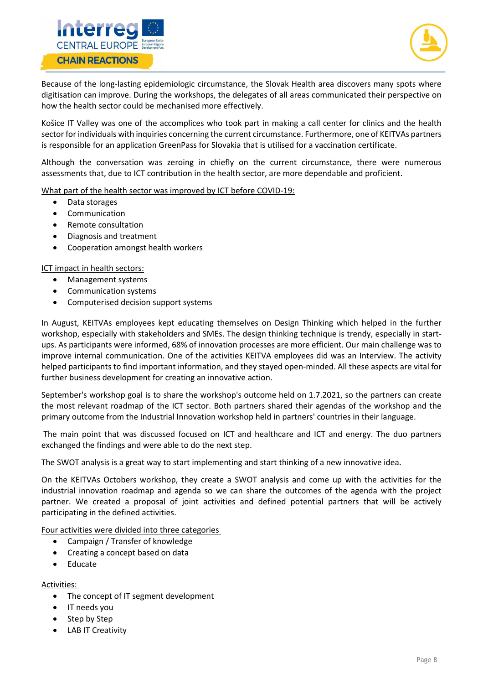



Because of the long-lasting epidemiologic circumstance, the Slovak Health area discovers many spots where digitisation can improve. During the workshops, the delegates of all areas communicated their perspective on how the health sector could be mechanised more effectively.

Košice IT Valley was one of the accomplices who took part in making a call center for clinics and the health sector for individuals with inquiries concerning the current circumstance. Furthermore, one of KEITVAs partners is responsible for an application GreenPass for Slovakia that is utilised for a vaccination certificate.

Although the conversation was zeroing in chiefly on the current circumstance, there were numerous assessments that, due to ICT contribution in the health sector, are more dependable and proficient.

What part of the health sector was improved by ICT before COVID-19:

- Data storages
- Communication
- Remote consultation
- Diagnosis and treatment
- Cooperation amongst health workers

ICT impact in health sectors:

- Management systems
- Communication systems
- Computerised decision support systems

In August, KEITVAs employees kept educating themselves on Design Thinking which helped in the further workshop, especially with stakeholders and SMEs. The design thinking technique is trendy, especially in startups. As participants were informed, 68% of innovation processes are more efficient. Our main challenge was to improve internal communication. One of the activities KEITVA employees did was an Interview. The activity helped participants to find important information, and they stayed open-minded. All these aspects are vital for further business development for creating an innovative action.

September's workshop goal is to share the workshop's outcome held on 1.7.2021, so the partners can create the most relevant roadmap of the ICT sector. Both partners shared their agendas of the workshop and the primary outcome from the Industrial Innovation workshop held in partners' countries in their language.

The main point that was discussed focused on ICT and healthcare and ICT and energy. The duo partners exchanged the findings and were able to do the next step.

The SWOT analysis is a great way to start implementing and start thinking of a new innovative idea.

On the KEITVAs Octobers workshop, they create a SWOT analysis and come up with the activities for the industrial innovation roadmap and agenda so we can share the outcomes of the agenda with the project partner. We created a proposal of joint activities and defined potential partners that will be actively participating in the defined activities.

Four activities were divided into three categories

- Campaign / Transfer of knowledge
- Creating a concept based on data
- Educate

Activities:

- The concept of IT segment development
- IT needs you
- Step by Step
- LAB IT Creativity